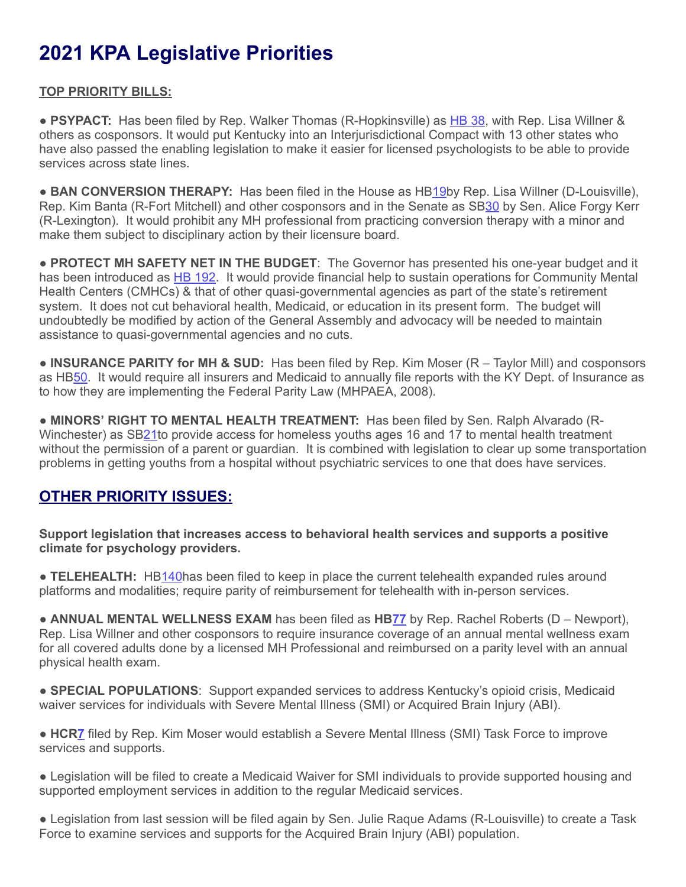# **2021 KPA Legislative Priorities**

### **TOP PRIORITY BILLS:**

● PSYPACT: Has been filed by Rep. Walker Thomas (R-Hopkinsville) as [HB](https://apps.legislature.ky.gov/record/21rs/hb38.html) [38](https://apps.legislature.ky.gov/record/21rs/hb38.html), with Rep. Lisa Willner & others as cosponsors. It would put Kentucky into an Interjurisdictional Compact with 13 other states who have also passed the enabling legislation to make it easier for licensed psychologists to be able to provide services across state lines.

● **BAN CONVERSION THERAPY:** Has been filed in the House as HB[19b](https://apps.legislature.ky.gov/record/21rs/hb19.html)y Rep. Lisa Willner (D-Louisville), Rep. Kim Banta (R-Fort Mitchell) and other cosponsors and in the Senate as S[B30](https://apps.legislature.ky.gov/record/21rs/sb30.html) by Sen. Alice Forgy Kerr (R-Lexington). It would prohibit any MH professional from practicing conversion therapy with a minor and make them subject to disciplinary action by their licensure board.

● **PROTECT MH SAFETY NET IN THE BUDGET**: The Governor has presented his one-year budget and it has been introduced as [HB 192](https://apps.legislature.ky.gov/record/21rs/hb192.html). It would provide financial help to sustain operations for Community Mental Health Centers (CMHCs) & that of other quasi-governmental agencies as part of the state's retirement system. It does not cut behavioral health, Medicaid, or education in its present form. The budget will undoubtedly be modified by action of the General Assembly and advocacy will be needed to maintain assistance to quasi-governmental agencies and no cuts.

● **INSURANCE PARITY for MH & SUD:** Has been filed by Rep. Kim Moser (R – Taylor Mill) and cosponsors as HB[50.](https://apps.legislature.ky.gov/record/21rs/hb50.html) It would require all insurers and Medicaid to annually file reports with the KY Dept. of Insurance as to how they are implementing the Federal Parity Law (MHPAEA, 2008).

● **MINORS' RIGHT TO MENTAL HEALTH TREATMENT:** Has been filed by Sen. Ralph Alvarado (R-Winchester) as S[B21t](https://apps.legislature.ky.gov/record/21rs/sb21.html)o provide access for homeless youths ages 16 and 17 to mental health treatment without the permission of a parent or guardian. It is combined with legislation to clear up some transportation problems in getting youths from a hospital without psychiatric services to one that does have services.

## **OTHER PRIORITY ISSUES:**

**Support legislation that increases access to behavioral health services and supports a positive climate for psychology providers.**

● **TELEHEALTH:** H[B140](https://apps.legislature.ky.gov/record/21rs/hb140.html)has been filed to keep in place the current telehealth expanded rules around platforms and modalities; require parity of reimbursement for telehealth with in-person services.

● **ANNUAL MENTAL WELLNESS EXAM** has been filed as **H[B77](https://apps.legislature.ky.gov/record/21rs/hb77.html)** by Rep. Rachel Roberts (D – Newport), Rep. Lisa Willner and other cosponsors to require insurance coverage of an annual mental wellness exam for all covered adults done by a licensed MH Professional and reimbursed on a parity level with an annual physical health exam.

● **SPECIAL POPULATIONS**: Support expanded services to address Kentucky's opioid crisis, Medicaid waiver services for individuals with Severe Mental Illness (SMI) or Acquired Brain Injury (ABI).

● **HCR[7](https://apps.legislature.ky.gov/record/21rs/hcr7.html)** filed by Rep. Kim Moser would establish a Severe Mental Illness (SMI) Task Force to improve services and supports.

● Legislation will be filed to create a Medicaid Waiver for SMI individuals to provide supported housing and supported employment services in addition to the regular Medicaid services.

● Legislation from last session will be filed again by Sen. Julie Raque Adams (R-Louisville) to create a Task Force to examine services and supports for the Acquired Brain Injury (ABI) population.